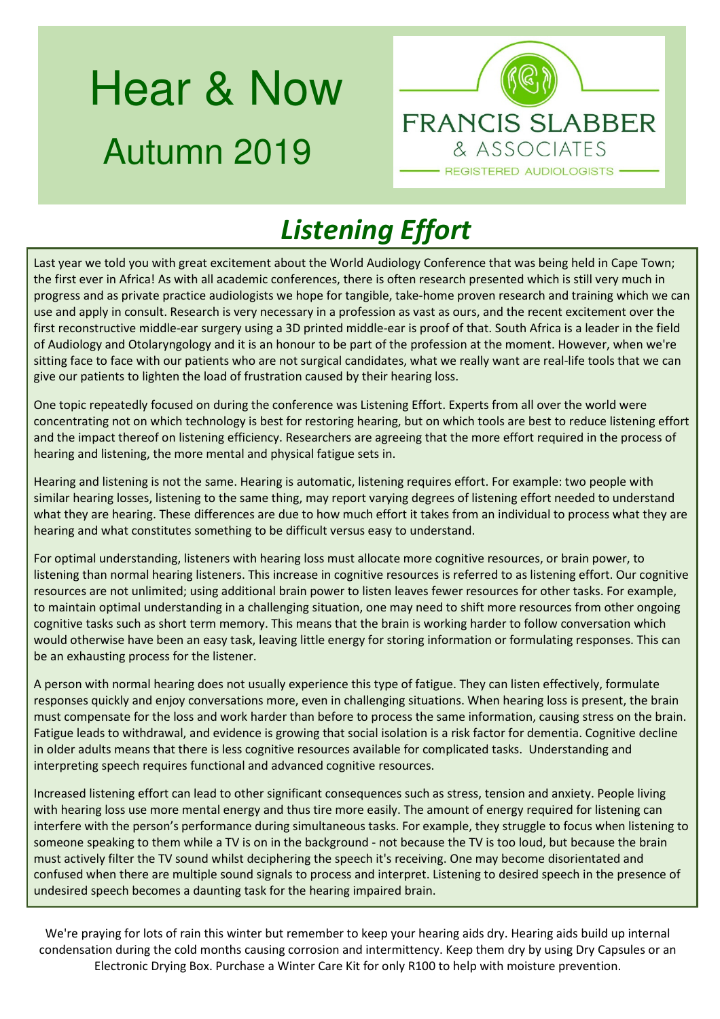# Hear & Now Autumn 2019



## *Listening Effort*

Last year we told you with great excitement about the World Audiology Conference that was being held in Cape Town; the first ever in Africa! As with all academic conferences, there is often research presented which is still very much in progress and as private practice audiologists we hope for tangible, take-home proven research and training which we can use and apply in consult. Research is very necessary in a profession as vast as ours, and the recent excitement over the first reconstructive middle-ear surgery using a 3D printed middle-ear is proof of that. South Africa is a leader in the field of Audiology and Otolaryngology and it is an honour to be part of the profession at the moment. However, when we're sitting face to face with our patients who are not surgical candidates, what we really want are real-life tools that we can give our patients to lighten the load of frustration caused by their hearing loss.

One topic repeatedly focused on during the conference was Listening Effort. Experts from all over the world were concentrating not on which technology is best for restoring hearing, but on which tools are best to reduce listening effort and the impact thereof on listening efficiency. Researchers are agreeing that the more effort required in the process of hearing and listening, the more mental and physical fatigue sets in.

Hearing and listening is not the same. Hearing is automatic, listening requires effort. For example: two people with similar hearing losses, listening to the same thing, may report varying degrees of listening effort needed to understand what they are hearing. These differences are due to how much effort it takes from an individual to process what they are hearing and what constitutes something to be difficult versus easy to understand.

For optimal understanding, listeners with hearing loss must allocate more cognitive resources, or brain power, to listening than normal hearing listeners. This increase in cognitive resources is referred to as listening effort. Our cognitive resources are not unlimited; using additional brain power to listen leaves fewer resources for other tasks. For example, to maintain optimal understanding in a challenging situation, one may need to shift more resources from other ongoing cognitive tasks such as short term memory. This means that the brain is working harder to follow conversation which would otherwise have been an easy task, leaving little energy for storing information or formulating responses. This can be an exhausting process for the listener.

A person with normal hearing does not usually experience this type of fatigue. They can listen effectively, formulate responses quickly and enjoy conversations more, even in challenging situations. When hearing loss is present, the brain must compensate for the loss and work harder than before to process the same information, causing stress on the brain. Fatigue leads to withdrawal, and evidence is growing that social isolation is a risk factor for dementia. Cognitive decline in older adults means that there is less cognitive resources available for complicated tasks. Understanding and interpreting speech requires functional and advanced cognitive resources.

Increased listening effort can lead to other significant consequences such as stress, tension and anxiety. People living with hearing loss use more mental energy and thus tire more easily. The amount of energy required for listening can interfere with the person's performance during simultaneous tasks. For example, they struggle to focus when listening to someone speaking to them while a TV is on in the background - not because the TV is too loud, but because the brain must actively filter the TV sound whilst deciphering the speech it's receiving. One may become disorientated and confused when there are multiple sound signals to process and interpret. Listening to desired speech in the presence of undesired speech becomes a daunting task for the hearing impaired brain.

We're praying for lots of rain this winter but remember to keep your hearing aids dry. Hearing aids build up internal condensation during the cold months causing corrosion and intermittency. Keep them dry by using Dry Capsules or an Electronic Drying Box. Purchase a Winter Care Kit for only R100 to help with moisture prevention.